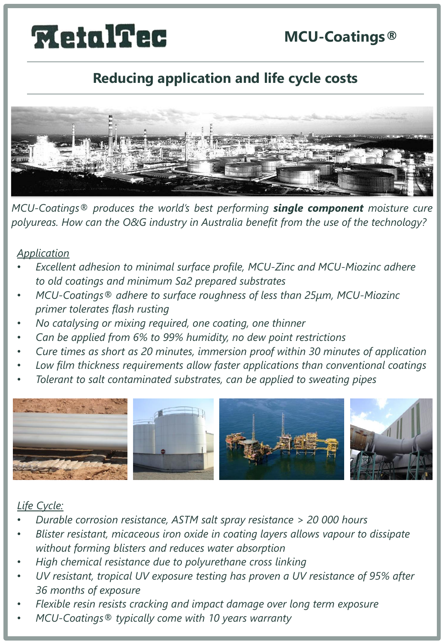# **MetalTec**

# **MCU-Coatings®**

## **Reducing application and life cycle costs**



*MCU-Coatings® produces the world's best performing single component moisture cure polyureas. How can the O&G industry in Australia benefit from the use of the technology?*

#### *Application*

- *Excellent adhesion to minimal surface profile, MCU-Zinc and MCU-Miozinc adhere to old coatings and minimum Sa2 prepared substrates*
- *MCU-Coatings® adhere to surface roughness of less than 25μm, MCU-Miozinc primer tolerates flash rusting*
- *No catalysing or mixing required, one coating, one thinner*
- *Can be applied from 6% to 99% humidity, no dew point restrictions*
- *Cure times as short as 20 minutes, immersion proof within 30 minutes of application*
- *Low film thickness requirements allow faster applications than conventional coatings*
- *Tolerant to salt contaminated substrates, can be applied to sweating pipes*



#### *Life Cycle:*

- *Durable corrosion resistance, ASTM salt spray resistance > 20 000 hours*
- *Blister resistant, micaceous iron oxide in coating layers allows vapour to dissipate without forming blisters and reduces water absorption*
- *High chemical resistance due to polyurethane cross linking*
- *UV resistant, tropical UV exposure testing has proven a UV resistance of 95% after 36 months of exposure*
- *Flexible resin resists cracking and impact damage over long term exposure*
- *MCU-Coatings® typically come with 10 years warranty*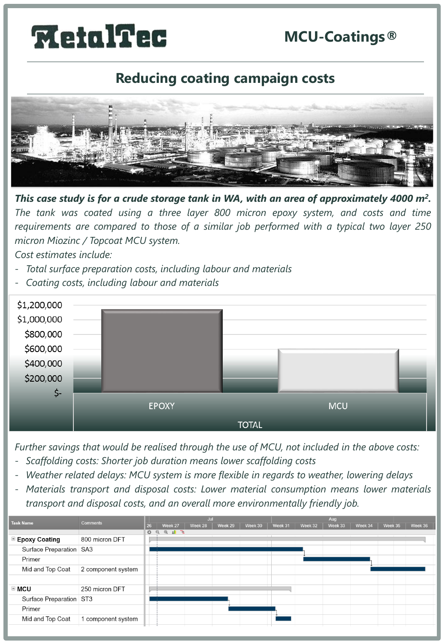#### **MCU-Coatings®**

# **MetalTec**

### **Reducing coating campaign costs**



This case study is for a crude storage tank in WA, with an area of approximately 4000 m<sup>2</sup>. *The tank was coated using a three layer 800 micron epoxy system, and costs and time requirements are compared to those of a similar job performed with a typical two layer 250 micron Miozinc / Topcoat MCU system.*

*Cost estimates include:*

- *Total surface preparation costs, including labour and materials*
- *Coating costs, including labour and materials*



*Further savings that would be realised through the use of MCU, not included in the above costs:*

- *Scaffolding costs: Shorter job duration means lower scaffolding costs*
- *Weather related delays: MCU system is more flexible in regards to weather, lowering delays*
- *Materials transport and disposal costs: Lower material consumption means lower materials transport and disposal costs, and an overall more environmentally friendly job.*

| <b>Task Name</b>             | <b>Comments</b>    | Jul |                                                                                                  |         |         |         | Aug     |         |         |         |         |         |
|------------------------------|--------------------|-----|--------------------------------------------------------------------------------------------------|---------|---------|---------|---------|---------|---------|---------|---------|---------|
|                              |                    | 26  | Week 27                                                                                          | Week 28 | Week 29 | Week 30 | Week 31 | Week 32 | Week 33 | Week 34 | Week 35 | Week 36 |
|                              |                    | ☆   | $\begin{array}{c c c c c c} \hline \mathbb{R} & \mathbb{R} & \mathbb{R} \end{array}$<br>$\alpha$ |         |         |         |         |         |         |         |         |         |
| $\blacksquare$ Epoxy Coating | 800 micron DFT     |     |                                                                                                  |         |         |         |         |         |         |         |         |         |
| Surface Preparation SA3      |                    |     |                                                                                                  |         |         |         |         |         |         |         |         |         |
| Primer                       |                    |     |                                                                                                  |         |         |         |         |         |         |         |         |         |
| Mid and Top Coat             | 2 component system |     |                                                                                                  |         |         |         |         |         |         |         |         |         |
|                              |                    |     |                                                                                                  |         |         |         |         |         |         |         |         |         |
| $\equiv$ MCU                 | 250 micron DFT     |     |                                                                                                  |         |         |         |         |         |         |         |         |         |
| Surface Preparation ST3      |                    |     |                                                                                                  |         |         |         |         |         |         |         |         |         |
| Primer                       |                    |     |                                                                                                  |         |         |         |         |         |         |         |         |         |
| Mid and Top Coat             | 1 component system |     |                                                                                                  |         |         |         |         |         |         |         |         |         |
|                              |                    |     |                                                                                                  |         |         |         |         |         |         |         |         |         |